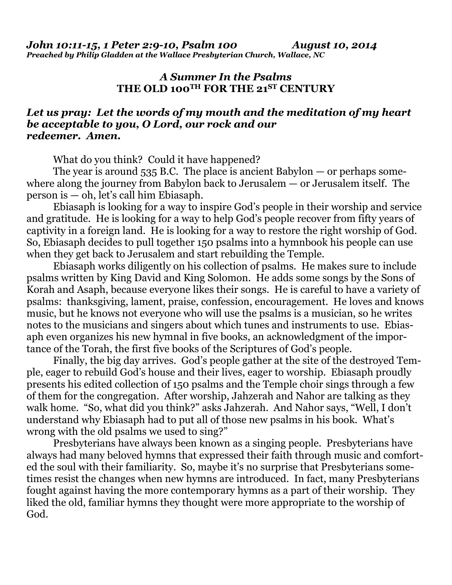## *A Summer In the Psalms*  **THE OLD 100TH FOR THE 21ST CENTURY**

## *Let us pray: Let the words of my mouth and the meditation of my heart be acceptable to you, O Lord, our rock and our redeemer. Amen.*

What do you think?Could it have happened?

The year is around  $535$  B.C. The place is ancient Babylon — or perhaps somewhere along the journey from Babylon back to Jerusalem — or Jerusalem itself. The person is — oh, let's call him Ebiasaph.

 Ebiasaph is looking for a way to inspire God's people in their worship and service and gratitude. He is looking for a way to help God's people recover from fifty years of captivity in a foreign land. He is looking for a way to restore the right worship of God. So, Ebiasaph decides to pull together 150 psalms into a hymnbook his people can use when they get back to Jerusalem and start rebuilding the Temple.

 Ebiasaph works diligently on his collection of psalms. He makes sure to include psalms written by King David and King Solomon. He adds some songs by the Sons of Korah and Asaph, because everyone likes their songs. He is careful to have a variety of psalms: thanksgiving, lament, praise, confession, encouragement. He loves and knows music, but he knows not everyone who will use the psalms is a musician, so he writes notes to the musicians and singers about which tunes and instruments to use. Ebiasaph even organizes his new hymnal in five books, an acknowledgment of the importance of the Torah, the first five books of the Scriptures of God's people.

 Finally, the big day arrives. God's people gather at the site of the destroyed Temple, eager to rebuild God's house and their lives, eager to worship. Ebiasaph proudly presents his edited collection of 150 psalms and the Temple choir sings through a few of them for the congregation. After worship, Jahzerah and Nahor are talking as they walk home. "So, what did you think?" asks Jahzerah. And Nahor says, "Well, I don't understand why Ebiasaph had to put all of those new psalms in his book. What's wrong with the old psalms we used to sing?"

 Presbyterians have always been known as a singing people. Presbyterians have always had many beloved hymns that expressed their faith through music and comforted the soul with their familiarity. So, maybe it's no surprise that Presbyterians sometimes resist the changes when new hymns are introduced. In fact, many Presbyterians fought against having the more contemporary hymns as a part of their worship. They liked the old, familiar hymns they thought were more appropriate to the worship of God.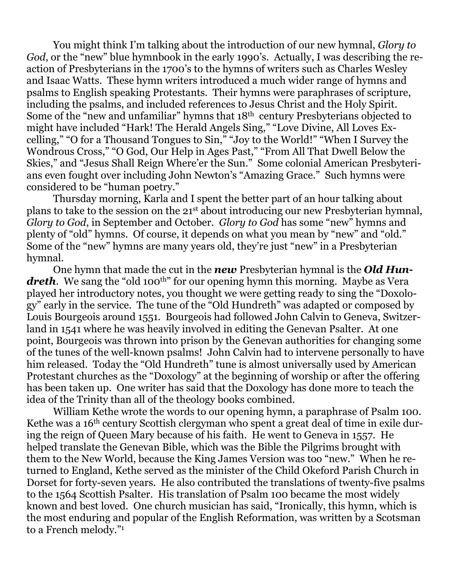You might think I'm talking about the introduction of our new hymnal, *Glory to God*, or the "new" blue hymnbook in the early 1990's. Actually, I was describing the reaction of Presbyterians in the 1700's to the hymns of writers such as Charles Wesley and Isaac Watts. These hymn writers introduced a much wider range of hymns and psalms to English speaking Protestants. Their hymns were paraphrases of scripture, including the psalms, and included references to Jesus Christ and the Holy Spirit. Some of the "new and unfamiliar" hymns that 18<sup>th</sup> century Presbyterians objected to might have included "Hark! The Herald Angels Sing," "Love Divine, All Loves Excelling," "O for a Thousand Tongues to Sin," "Joy to the World!" "When I Survey the Wondrous Cross," "O God, Our Help in Ages Past," "From All That Dwell Below the Skies," and "Jesus Shall Reign Where'er the Sun." Some colonial American Presbyterians even fought over including John Newton's "Amazing Grace." Such hymns were considered to be "human poetry."

 Thursday morning, Karla and I spent the better part of an hour talking about plans to take to the session on the 21st about introducing our new Presbyterian hymnal, *Glory to God*, in September and October. *Glory to God* has some "new" hymns and plenty of "old" hymns. Of course, it depends on what you mean by "new" and "old." Some of the "new" hymns are many years old, they're just "new" in a Presbyterian hymnal.

 One hymn that made the cut in the *new* Presbyterian hymnal is the *Old Hun*dreth. We sang the "old 100<sup>th</sup>" for our opening hymn this morning. Maybe as Vera played her introductory notes, you thought we were getting ready to sing the "Doxology" early in the service. The tune of the "Old Hundreth" was adapted or composed by Louis Bourgeois around 1551. Bourgeois had followed John Calvin to Geneva, Switzerland in 1541 where he was heavily involved in editing the Genevan Psalter. At one point, Bourgeois was thrown into prison by the Genevan authorities for changing some of the tunes of the well-known psalms! John Calvin had to intervene personally to have him released. Today the "Old Hundreth" tune is almost universally used by American Protestant churches as the "Doxology" at the beginning of worship or after the offering has been taken up. One writer has said that the Doxology has done more to teach the idea of the Trinity than all of the theology books combined.

 William Kethe wrote the words to our opening hymn, a paraphrase of Psalm 100. Kethe was a 16<sup>th</sup> century Scottish clergyman who spent a great deal of time in exile during the reign of Queen Mary because of his faith. He went to Geneva in 1557. He helped translate the Genevan Bible, which was the Bible the Pilgrims brought with them to the New World, because the King James Version was too "new." When he returned to England, Kethe served as the minister of the Child Okeford Parish Church in Dorset for forty-seven years. He also contributed the translations of twenty-five psalms to the 1564 Scottish Psalter. His translation of Psalm 100 became the most widely known and best loved. One church musician has said, "Ironically, this hymn, which is the most enduring and popular of the English Reformation, was written by a Scotsman to a French melody."1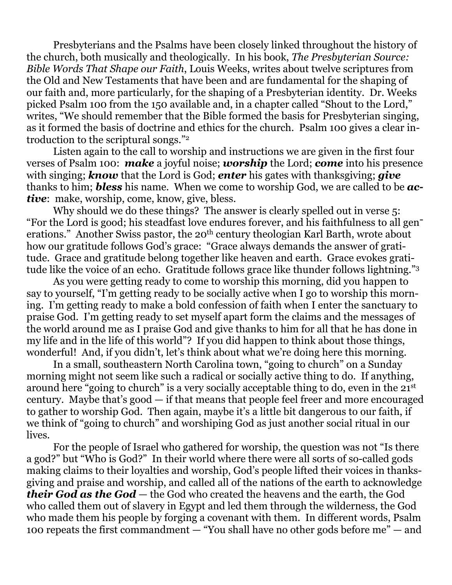Presbyterians and the Psalms have been closely linked throughout the history of the church, both musically and theologically. In his book, *The Presbyterian Source: Bible Words That Shape our Faith*, Louis Weeks, writes about twelve scriptures from the Old and New Testaments that have been and are fundamental for the shaping of our faith and, more particularly, for the shaping of a Presbyterian identity. Dr. Weeks picked Psalm 100 from the 150 available and, in a chapter called "Shout to the Lord," writes, "We should remember that the Bible formed the basis for Presbyterian singing, as it formed the basis of doctrine and ethics for the church. Psalm 100 gives a clear introduction to the scriptural songs."2

 Listen again to the call to worship and instructions we are given in the first four verses of Psalm 100: *make* a joyful noise; *worship* the Lord; *come* into his presence with singing; *know* that the Lord is God; *enter* his gates with thanksgiving; *give*  thanks to him; *bless* his name. When we come to worship God, we are called to be *active*: make, worship, come, know, give, bless.

Why should we do these things? The answer is clearly spelled out in verse 5: "For the Lord is good; his steadfast love endures forever, and his faithfulness to all generations." Another Swiss pastor, the 20<sup>th</sup> century theologian Karl Barth, wrote about how our gratitude follows God's grace: "Grace always demands the answer of gratitude. Grace and gratitude belong together like heaven and earth. Grace evokes gratitude like the voice of an echo. Gratitude follows grace like thunder follows lightning."3

 As you were getting ready to come to worship this morning, did you happen to say to yourself, "I'm getting ready to be socially active when I go to worship this morning. I'm getting ready to make a bold confession of faith when I enter the sanctuary to praise God. I'm getting ready to set myself apart form the claims and the messages of the world around me as I praise God and give thanks to him for all that he has done in my life and in the life of this world"? If you did happen to think about those things, wonderful! And, if you didn't, let's think about what we're doing here this morning.

 In a small, southeastern North Carolina town, "going to church" on a Sunday morning might not seem like such a radical or socially active thing to do. If anything, around here "going to church" is a very socially acceptable thing to do, even in the 21st century. Maybe that's good — if that means that people feel freer and more encouraged to gather to worship God. Then again, maybe it's a little bit dangerous to our faith, if we think of "going to church" and worshiping God as just another social ritual in our lives.

 For the people of Israel who gathered for worship, the question was not "Is there a god?" but "Who is God?" In their world where there were all sorts of so-called gods making claims to their loyalties and worship, God's people lifted their voices in thanksgiving and praise and worship, and called all of the nations of the earth to acknowledge *their God as the God* — the God who created the heavens and the earth, the God who called them out of slavery in Egypt and led them through the wilderness, the God who made them his people by forging a covenant with them. In different words, Psalm 100 repeats the first commandment — "You shall have no other gods before me" — and